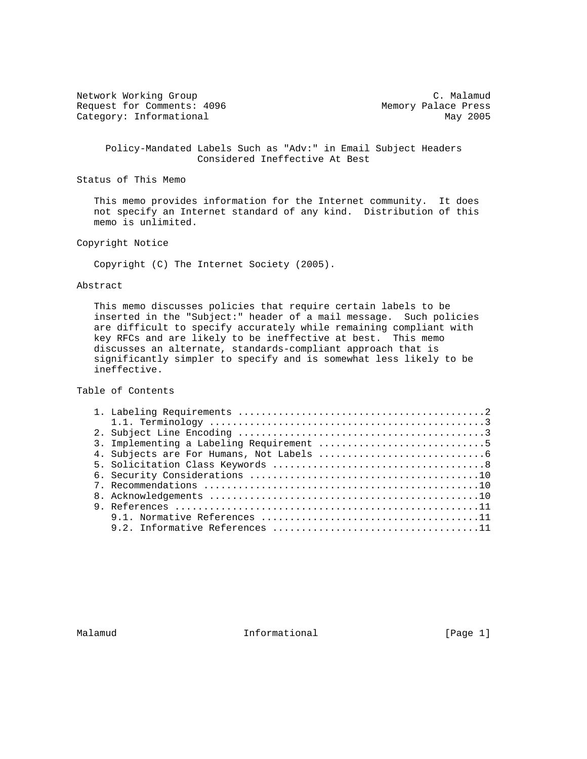Network Working Group C. Malamud C. Malamud Request for Comments: 4096 Memory Palace Press Category: Informational May 2005

 Policy-Mandated Labels Such as "Adv:" in Email Subject Headers Considered Ineffective At Best

Status of This Memo

 This memo provides information for the Internet community. It does not specify an Internet standard of any kind. Distribution of this memo is unlimited.

Copyright Notice

Copyright (C) The Internet Society (2005).

### Abstract

 This memo discusses policies that require certain labels to be inserted in the "Subject:" header of a mail message. Such policies are difficult to specify accurately while remaining compliant with key RFCs and are likely to be ineffective at best. This memo discusses an alternate, standards-compliant approach that is significantly simpler to specify and is somewhat less likely to be ineffective.

Table of Contents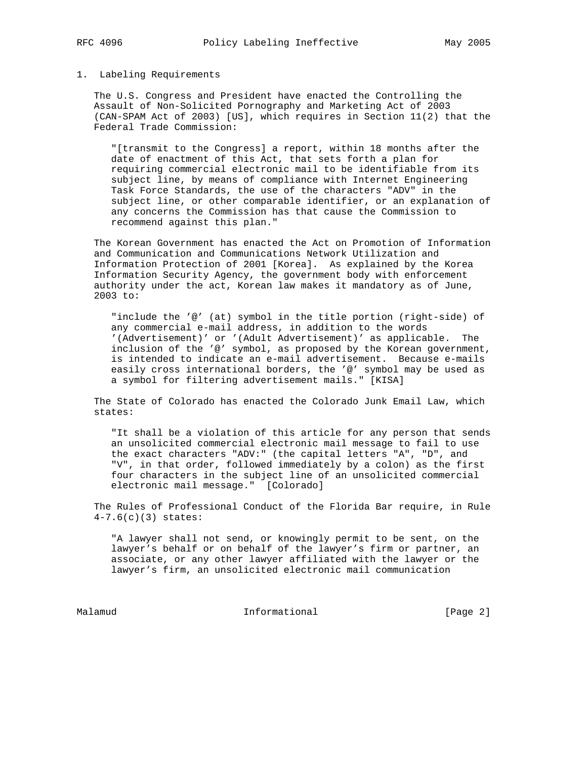#### 1. Labeling Requirements

 The U.S. Congress and President have enacted the Controlling the Assault of Non-Solicited Pornography and Marketing Act of 2003 (CAN-SPAM Act of 2003) [US], which requires in Section 11(2) that the Federal Trade Commission:

 "[transmit to the Congress] a report, within 18 months after the date of enactment of this Act, that sets forth a plan for requiring commercial electronic mail to be identifiable from its subject line, by means of compliance with Internet Engineering Task Force Standards, the use of the characters "ADV" in the subject line, or other comparable identifier, or an explanation of any concerns the Commission has that cause the Commission to recommend against this plan."

 The Korean Government has enacted the Act on Promotion of Information and Communication and Communications Network Utilization and Information Protection of 2001 [Korea]. As explained by the Korea Information Security Agency, the government body with enforcement authority under the act, Korean law makes it mandatory as of June, 2003 to:

 "include the '@' (at) symbol in the title portion (right-side) of any commercial e-mail address, in addition to the words '(Advertisement)' or '(Adult Advertisement)' as applicable. The inclusion of the '@' symbol, as proposed by the Korean government, is intended to indicate an e-mail advertisement. Because e-mails easily cross international borders, the '@' symbol may be used as a symbol for filtering advertisement mails." [KISA]

 The State of Colorado has enacted the Colorado Junk Email Law, which states:

 "It shall be a violation of this article for any person that sends an unsolicited commercial electronic mail message to fail to use the exact characters "ADV:" (the capital letters "A", "D", and "V", in that order, followed immediately by a colon) as the first four characters in the subject line of an unsolicited commercial electronic mail message." [Colorado]

 The Rules of Professional Conduct of the Florida Bar require, in Rule 4-7.6(c)(3) states:

 "A lawyer shall not send, or knowingly permit to be sent, on the lawyer's behalf or on behalf of the lawyer's firm or partner, an associate, or any other lawyer affiliated with the lawyer or the lawyer's firm, an unsolicited electronic mail communication

Malamud Informational [Page 2]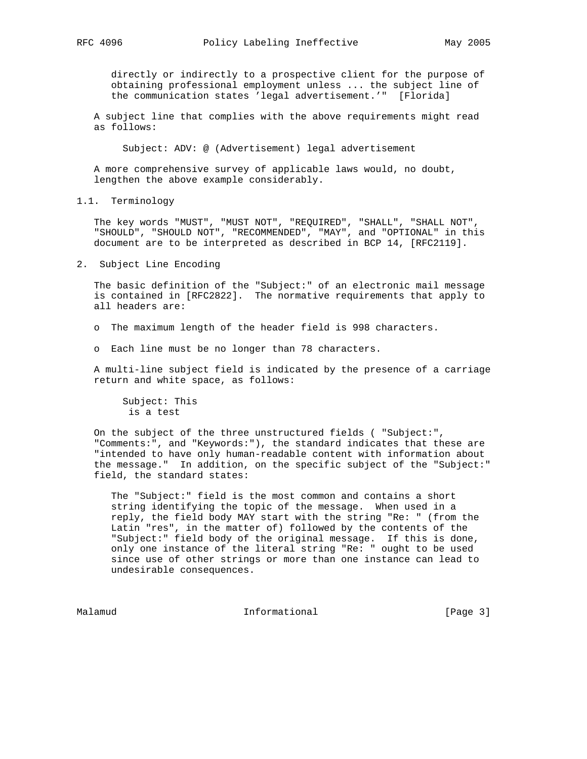directly or indirectly to a prospective client for the purpose of obtaining professional employment unless ... the subject line of the communication states 'legal advertisement.'" [Florida]

 A subject line that complies with the above requirements might read as follows:

Subject: ADV: @ (Advertisement) legal advertisement

 A more comprehensive survey of applicable laws would, no doubt, lengthen the above example considerably.

1.1. Terminology

 The key words "MUST", "MUST NOT", "REQUIRED", "SHALL", "SHALL NOT", "SHOULD", "SHOULD NOT", "RECOMMENDED", "MAY", and "OPTIONAL" in this document are to be interpreted as described in BCP 14, [RFC2119].

2. Subject Line Encoding

 The basic definition of the "Subject:" of an electronic mail message is contained in [RFC2822]. The normative requirements that apply to all headers are:

o The maximum length of the header field is 998 characters.

o Each line must be no longer than 78 characters.

 A multi-line subject field is indicated by the presence of a carriage return and white space, as follows:

 Subject: This is a test

 On the subject of the three unstructured fields ( "Subject:", "Comments:", and "Keywords:"), the standard indicates that these are "intended to have only human-readable content with information about the message." In addition, on the specific subject of the "Subject:" field, the standard states:

 The "Subject:" field is the most common and contains a short string identifying the topic of the message. When used in a reply, the field body MAY start with the string "Re: " (from the Latin "res", in the matter of) followed by the contents of the "Subject:" field body of the original message. If this is done, only one instance of the literal string "Re: " ought to be used since use of other strings or more than one instance can lead to undesirable consequences.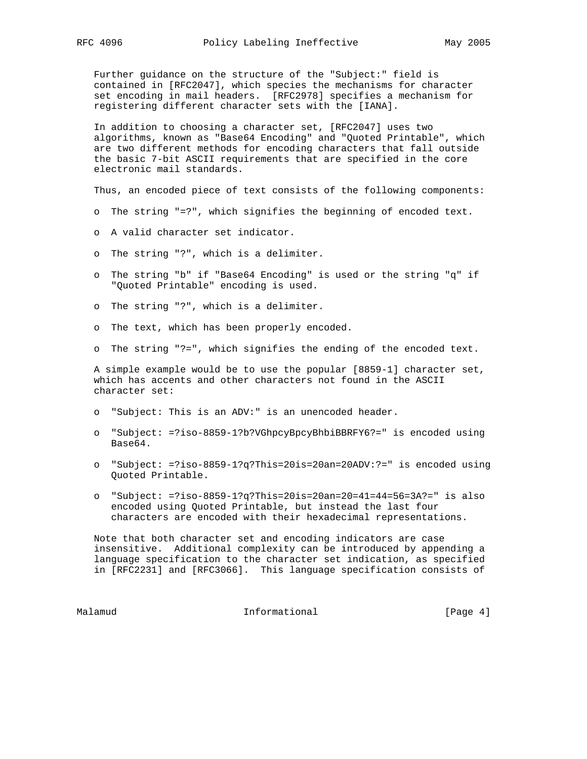Further guidance on the structure of the "Subject:" field is contained in [RFC2047], which species the mechanisms for character set encoding in mail headers. [RFC2978] specifies a mechanism for registering different character sets with the [IANA].

 In addition to choosing a character set, [RFC2047] uses two algorithms, known as "Base64 Encoding" and "Quoted Printable", which are two different methods for encoding characters that fall outside the basic 7-bit ASCII requirements that are specified in the core electronic mail standards.

Thus, an encoded piece of text consists of the following components:

- o The string "=?", which signifies the beginning of encoded text.
- o A valid character set indicator.
- o The string "?", which is a delimiter.
- o The string "b" if "Base64 Encoding" is used or the string "q" if "Quoted Printable" encoding is used.
- o The string "?", which is a delimiter.
- o The text, which has been properly encoded.
- o The string "?=", which signifies the ending of the encoded text.

 A simple example would be to use the popular [8859-1] character set, which has accents and other characters not found in the ASCII character set:

- o "Subject: This is an ADV:" is an unencoded header.
- o "Subject: =?iso-8859-1?b?VGhpcyBpcyBhbiBBRFY6?=" is encoded using Base64.
- o "Subject: =?iso-8859-1?q?This=20is=20an=20ADV:?=" is encoded using Quoted Printable.
- o "Subject: =?iso-8859-1?q?This=20is=20an=20=41=44=56=3A?=" is also encoded using Quoted Printable, but instead the last four characters are encoded with their hexadecimal representations.

 Note that both character set and encoding indicators are case insensitive. Additional complexity can be introduced by appending a language specification to the character set indication, as specified in [RFC2231] and [RFC3066]. This language specification consists of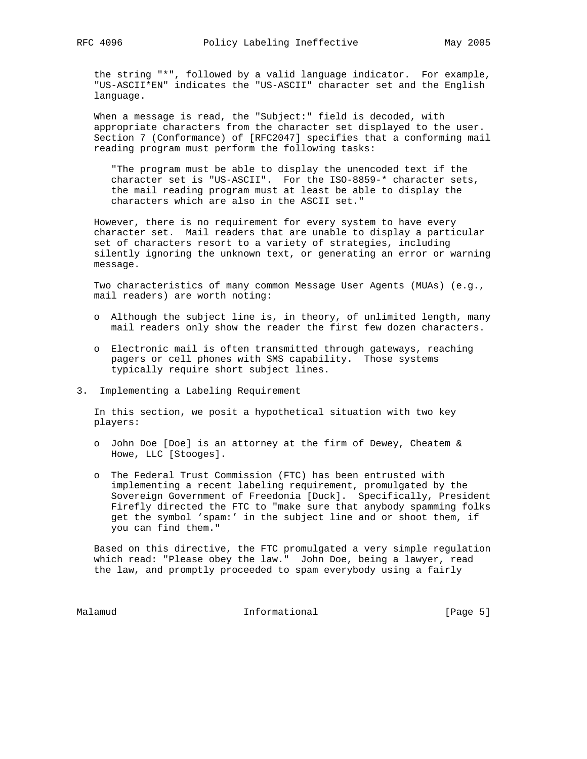the string "\*", followed by a valid language indicator. For example, "US-ASCII\*EN" indicates the "US-ASCII" character set and the English language.

 When a message is read, the "Subject:" field is decoded, with appropriate characters from the character set displayed to the user. Section 7 (Conformance) of [RFC2047] specifies that a conforming mail reading program must perform the following tasks:

 "The program must be able to display the unencoded text if the character set is "US-ASCII". For the ISO-8859-\* character sets, the mail reading program must at least be able to display the characters which are also in the ASCII set."

 However, there is no requirement for every system to have every character set. Mail readers that are unable to display a particular set of characters resort to a variety of strategies, including silently ignoring the unknown text, or generating an error or warning message.

 Two characteristics of many common Message User Agents (MUAs) (e.g., mail readers) are worth noting:

- o Although the subject line is, in theory, of unlimited length, many mail readers only show the reader the first few dozen characters.
- o Electronic mail is often transmitted through gateways, reaching pagers or cell phones with SMS capability. Those systems typically require short subject lines.
- 3. Implementing a Labeling Requirement

 In this section, we posit a hypothetical situation with two key players:

- o John Doe [Doe] is an attorney at the firm of Dewey, Cheatem & Howe, LLC [Stooges].
- o The Federal Trust Commission (FTC) has been entrusted with implementing a recent labeling requirement, promulgated by the Sovereign Government of Freedonia [Duck]. Specifically, President Firefly directed the FTC to "make sure that anybody spamming folks get the symbol 'spam:' in the subject line and or shoot them, if you can find them."

 Based on this directive, the FTC promulgated a very simple regulation which read: "Please obey the law." John Doe, being a lawyer, read the law, and promptly proceeded to spam everybody using a fairly

Malamud **Informational Informational** [Page 5]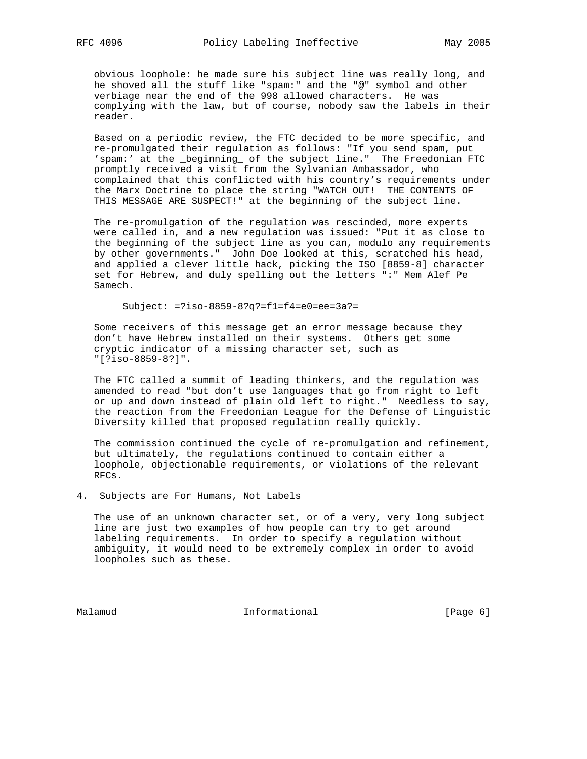obvious loophole: he made sure his subject line was really long, and he shoved all the stuff like "spam:" and the "@" symbol and other verbiage near the end of the 998 allowed characters. He was complying with the law, but of course, nobody saw the labels in their reader.

 Based on a periodic review, the FTC decided to be more specific, and re-promulgated their regulation as follows: "If you send spam, put 'spam:' at the \_beginning\_ of the subject line." The Freedonian FTC promptly received a visit from the Sylvanian Ambassador, who complained that this conflicted with his country's requirements under the Marx Doctrine to place the string "WATCH OUT! THE CONTENTS OF THIS MESSAGE ARE SUSPECT!" at the beginning of the subject line.

 The re-promulgation of the regulation was rescinded, more experts were called in, and a new regulation was issued: "Put it as close to the beginning of the subject line as you can, modulo any requirements by other governments." John Doe looked at this, scratched his head, and applied a clever little hack, picking the ISO [8859-8] character set for Hebrew, and duly spelling out the letters ":" Mem Alef Pe Samech.

Subject: =?iso-8859-8?q?=f1=f4=e0=ee=3a?=

 Some receivers of this message get an error message because they don't have Hebrew installed on their systems. Others get some cryptic indicator of a missing character set, such as "[?iso-8859-8?]".

 The FTC called a summit of leading thinkers, and the regulation was amended to read "but don't use languages that go from right to left or up and down instead of plain old left to right." Needless to say, the reaction from the Freedonian League for the Defense of Linguistic Diversity killed that proposed regulation really quickly.

 The commission continued the cycle of re-promulgation and refinement, but ultimately, the regulations continued to contain either a loophole, objectionable requirements, or violations of the relevant RFCs.

4. Subjects are For Humans, Not Labels

 The use of an unknown character set, or of a very, very long subject line are just two examples of how people can try to get around labeling requirements. In order to specify a regulation without ambiguity, it would need to be extremely complex in order to avoid loopholes such as these.

Malamud **Informational Informational** [Page 6]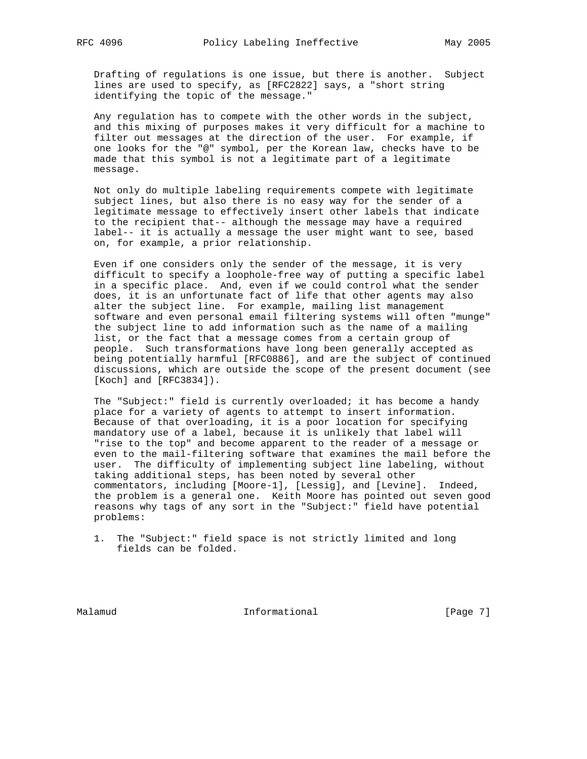Drafting of regulations is one issue, but there is another. Subject lines are used to specify, as [RFC2822] says, a "short string identifying the topic of the message."

 Any regulation has to compete with the other words in the subject, and this mixing of purposes makes it very difficult for a machine to filter out messages at the direction of the user. For example, if one looks for the "@" symbol, per the Korean law, checks have to be made that this symbol is not a legitimate part of a legitimate message.

 Not only do multiple labeling requirements compete with legitimate subject lines, but also there is no easy way for the sender of a legitimate message to effectively insert other labels that indicate to the recipient that-- although the message may have a required label-- it is actually a message the user might want to see, based on, for example, a prior relationship.

 Even if one considers only the sender of the message, it is very difficult to specify a loophole-free way of putting a specific label in a specific place. And, even if we could control what the sender does, it is an unfortunate fact of life that other agents may also alter the subject line. For example, mailing list management software and even personal email filtering systems will often "munge" the subject line to add information such as the name of a mailing list, or the fact that a message comes from a certain group of people. Such transformations have long been generally accepted as being potentially harmful [RFC0886], and are the subject of continued discussions, which are outside the scope of the present document (see [Koch] and [RFC3834]).

 The "Subject:" field is currently overloaded; it has become a handy place for a variety of agents to attempt to insert information. Because of that overloading, it is a poor location for specifying mandatory use of a label, because it is unlikely that label will "rise to the top" and become apparent to the reader of a message or even to the mail-filtering software that examines the mail before the user. The difficulty of implementing subject line labeling, without taking additional steps, has been noted by several other commentators, including [Moore-1], [Lessig], and [Levine]. Indeed, the problem is a general one. Keith Moore has pointed out seven good reasons why tags of any sort in the "Subject:" field have potential problems:

 <sup>1.</sup> The "Subject:" field space is not strictly limited and long fields can be folded.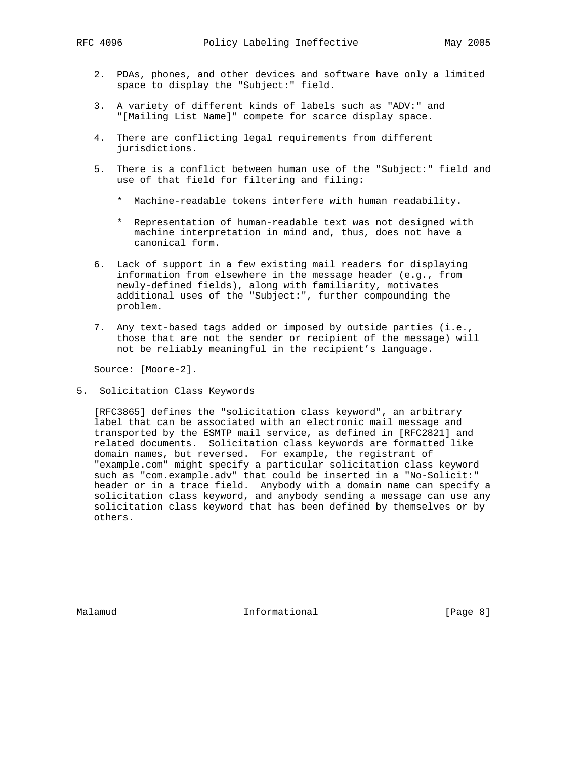- 2. PDAs, phones, and other devices and software have only a limited space to display the "Subject:" field.
- 3. A variety of different kinds of labels such as "ADV:" and "[Mailing List Name]" compete for scarce display space.
- 4. There are conflicting legal requirements from different jurisdictions.
- 5. There is a conflict between human use of the "Subject:" field and use of that field for filtering and filing:
	- \* Machine-readable tokens interfere with human readability.
	- \* Representation of human-readable text was not designed with machine interpretation in mind and, thus, does not have a canonical form.
- 6. Lack of support in a few existing mail readers for displaying information from elsewhere in the message header (e.g., from newly-defined fields), along with familiarity, motivates additional uses of the "Subject:", further compounding the problem.
- 7. Any text-based tags added or imposed by outside parties (i.e., those that are not the sender or recipient of the message) will not be reliably meaningful in the recipient's language.

Source: [Moore-2].

5. Solicitation Class Keywords

 [RFC3865] defines the "solicitation class keyword", an arbitrary label that can be associated with an electronic mail message and transported by the ESMTP mail service, as defined in [RFC2821] and related documents. Solicitation class keywords are formatted like domain names, but reversed. For example, the registrant of "example.com" might specify a particular solicitation class keyword such as "com.example.adv" that could be inserted in a "No-Solicit:" header or in a trace field. Anybody with a domain name can specify a solicitation class keyword, and anybody sending a message can use any solicitation class keyword that has been defined by themselves or by others.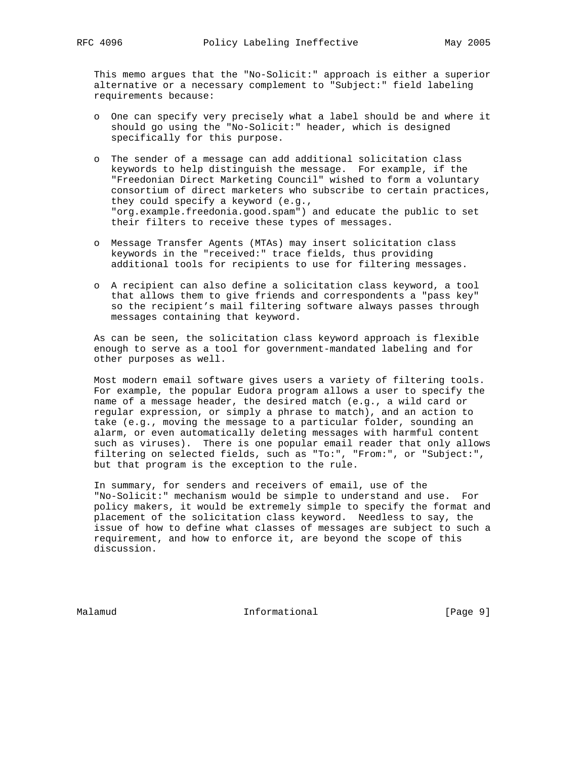This memo argues that the "No-Solicit:" approach is either a superior alternative or a necessary complement to "Subject:" field labeling requirements because:

- o One can specify very precisely what a label should be and where it should go using the "No-Solicit:" header, which is designed specifically for this purpose.
- o The sender of a message can add additional solicitation class keywords to help distinguish the message. For example, if the "Freedonian Direct Marketing Council" wished to form a voluntary consortium of direct marketers who subscribe to certain practices, they could specify a keyword (e.g., "org.example.freedonia.good.spam") and educate the public to set their filters to receive these types of messages.
- o Message Transfer Agents (MTAs) may insert solicitation class keywords in the "received:" trace fields, thus providing additional tools for recipients to use for filtering messages.
- o A recipient can also define a solicitation class keyword, a tool that allows them to give friends and correspondents a "pass key" so the recipient's mail filtering software always passes through messages containing that keyword.

 As can be seen, the solicitation class keyword approach is flexible enough to serve as a tool for government-mandated labeling and for other purposes as well.

 Most modern email software gives users a variety of filtering tools. For example, the popular Eudora program allows a user to specify the name of a message header, the desired match (e.g., a wild card or regular expression, or simply a phrase to match), and an action to take (e.g., moving the message to a particular folder, sounding an alarm, or even automatically deleting messages with harmful content such as viruses). There is one popular email reader that only allows filtering on selected fields, such as "To:", "From:", or "Subject:", but that program is the exception to the rule.

 In summary, for senders and receivers of email, use of the "No-Solicit:" mechanism would be simple to understand and use. For policy makers, it would be extremely simple to specify the format and placement of the solicitation class keyword. Needless to say, the issue of how to define what classes of messages are subject to such a requirement, and how to enforce it, are beyond the scope of this discussion.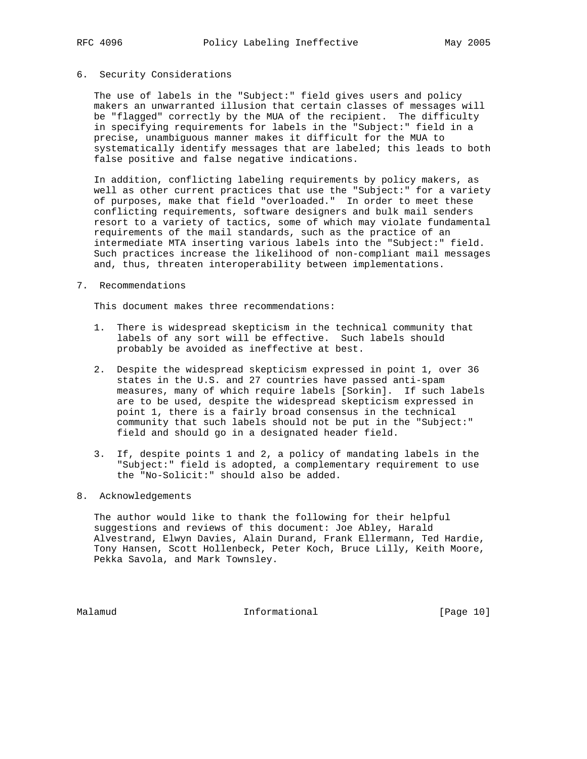# 6. Security Considerations

 The use of labels in the "Subject:" field gives users and policy makers an unwarranted illusion that certain classes of messages will be "flagged" correctly by the MUA of the recipient. The difficulty in specifying requirements for labels in the "Subject:" field in a precise, unambiguous manner makes it difficult for the MUA to systematically identify messages that are labeled; this leads to both false positive and false negative indications.

 In addition, conflicting labeling requirements by policy makers, as well as other current practices that use the "Subject:" for a variety of purposes, make that field "overloaded." In order to meet these conflicting requirements, software designers and bulk mail senders resort to a variety of tactics, some of which may violate fundamental requirements of the mail standards, such as the practice of an intermediate MTA inserting various labels into the "Subject:" field. Such practices increase the likelihood of non-compliant mail messages and, thus, threaten interoperability between implementations.

7. Recommendations

This document makes three recommendations:

- 1. There is widespread skepticism in the technical community that labels of any sort will be effective. Such labels should probably be avoided as ineffective at best.
- 2. Despite the widespread skepticism expressed in point 1, over 36 states in the U.S. and 27 countries have passed anti-spam measures, many of which require labels [Sorkin]. If such labels are to be used, despite the widespread skepticism expressed in point 1, there is a fairly broad consensus in the technical community that such labels should not be put in the "Subject:" field and should go in a designated header field.
- 3. If, despite points 1 and 2, a policy of mandating labels in the "Subject:" field is adopted, a complementary requirement to use the "No-Solicit:" should also be added.
- 8. Acknowledgements

 The author would like to thank the following for their helpful suggestions and reviews of this document: Joe Abley, Harald Alvestrand, Elwyn Davies, Alain Durand, Frank Ellermann, Ted Hardie, Tony Hansen, Scott Hollenbeck, Peter Koch, Bruce Lilly, Keith Moore, Pekka Savola, and Mark Townsley.

Malamud **Informational Informational** [Page 10]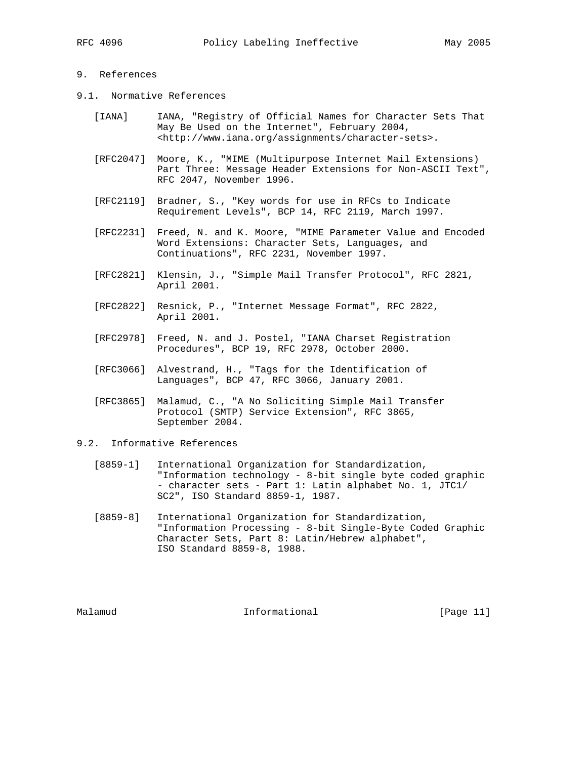# 9. References

- 9.1. Normative References
	- [IANA] IANA, "Registry of Official Names for Character Sets That May Be Used on the Internet", February 2004, <http://www.iana.org/assignments/character-sets>.
	- [RFC2047] Moore, K., "MIME (Multipurpose Internet Mail Extensions) Part Three: Message Header Extensions for Non-ASCII Text", RFC 2047, November 1996.
	- [RFC2119] Bradner, S., "Key words for use in RFCs to Indicate Requirement Levels", BCP 14, RFC 2119, March 1997.
	- [RFC2231] Freed, N. and K. Moore, "MIME Parameter Value and Encoded Word Extensions: Character Sets, Languages, and Continuations", RFC 2231, November 1997.
	- [RFC2821] Klensin, J., "Simple Mail Transfer Protocol", RFC 2821, April 2001.
	- [RFC2822] Resnick, P., "Internet Message Format", RFC 2822, April 2001.
	- [RFC2978] Freed, N. and J. Postel, "IANA Charset Registration Procedures", BCP 19, RFC 2978, October 2000.
	- [RFC3066] Alvestrand, H., "Tags for the Identification of Languages", BCP 47, RFC 3066, January 2001.
	- [RFC3865] Malamud, C., "A No Soliciting Simple Mail Transfer Protocol (SMTP) Service Extension", RFC 3865, September 2004.

## 9.2. Informative References

- [8859-1] International Organization for Standardization, "Information technology - 8-bit single byte coded graphic - character sets - Part 1: Latin alphabet No. 1, JTC1/ SC2", ISO Standard 8859-1, 1987.
- [8859-8] International Organization for Standardization, "Information Processing - 8-bit Single-Byte Coded Graphic Character Sets, Part 8: Latin/Hebrew alphabet", ISO Standard 8859-8, 1988.

Malamud **Informational Informational** [Page 11]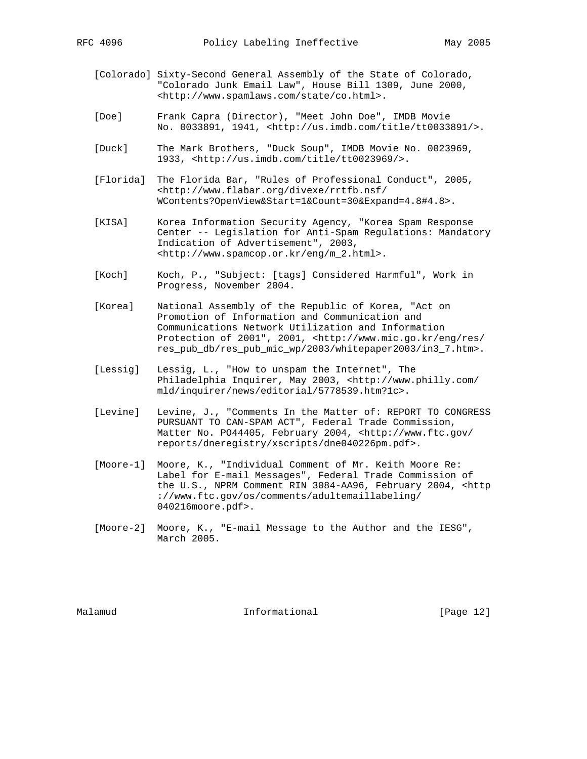- [Colorado] Sixty-Second General Assembly of the State of Colorado, "Colorado Junk Email Law", House Bill 1309, June 2000, <http://www.spamlaws.com/state/co.html>.
- [Doe] Frank Capra (Director), "Meet John Doe", IMDB Movie No. 0033891, 1941, <http://us.imdb.com/title/tt0033891/>.
- [Duck] The Mark Brothers, "Duck Soup", IMDB Movie No. 0023969, 1933, <http://us.imdb.com/title/tt0023969/>.
- [Florida] The Florida Bar, "Rules of Professional Conduct", 2005, <http://www.flabar.org/divexe/rrtfb.nsf/ WContents?OpenView&Start=1&Count=30&Expand=4.8#4.8>.
- [KISA] Korea Information Security Agency, "Korea Spam Response Center -- Legislation for Anti-Spam Regulations: Mandatory Indication of Advertisement", 2003, <http://www.spamcop.or.kr/eng/m\_2.html>.
- [Koch] Koch, P., "Subject: [tags] Considered Harmful", Work in Progress, November 2004.
- [Korea] National Assembly of the Republic of Korea, "Act on Promotion of Information and Communication and Communications Network Utilization and Information Protection of 2001", 2001, <http://www.mic.go.kr/eng/res/ res\_pub\_db/res\_pub\_mic\_wp/2003/whitepaper2003/in3\_7.htm>.
- [Lessig] Lessig, L., "How to unspam the Internet", The Philadelphia Inquirer, May 2003, <http://www.philly.com/ mld/inquirer/news/editorial/5778539.htm?1c>.
- [Levine] Levine, J., "Comments In the Matter of: REPORT TO CONGRESS PURSUANT TO CAN-SPAM ACT", Federal Trade Commission, Matter No. PO44405, February 2004, <http://www.ftc.gov/ reports/dneregistry/xscripts/dne040226pm.pdf>.
- [Moore-1] Moore, K., "Individual Comment of Mr. Keith Moore Re: Label for E-mail Messages", Federal Trade Commission of the U.S., NPRM Comment RIN 3084-AA96, February 2004, <http ://www.ftc.gov/os/comments/adultemaillabeling/ 040216moore.pdf>.
- [Moore-2] Moore, K., "E-mail Message to the Author and the IESG", March 2005.

Malamud **Informational Informational** [Page 12]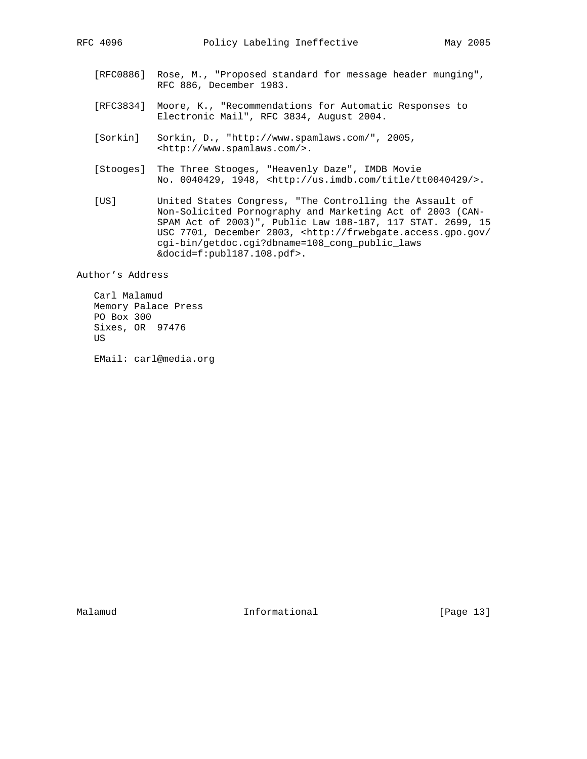- [RFC0886] Rose, M., "Proposed standard for message header munging", RFC 886, December 1983.
- [RFC3834] Moore, K., "Recommendations for Automatic Responses to Electronic Mail", RFC 3834, August 2004.
- [Sorkin] Sorkin, D., "http://www.spamlaws.com/", 2005, <http://www.spamlaws.com/>.
- [Stooges] The Three Stooges, "Heavenly Daze", IMDB Movie No. 0040429, 1948, <http://us.imdb.com/title/tt0040429/>.
- [US] United States Congress, "The Controlling the Assault of Non-Solicited Pornography and Marketing Act of 2003 (CAN- SPAM Act of 2003)", Public Law 108-187, 117 STAT. 2699, 15 USC 7701, December 2003, <http://frwebgate.access.gpo.gov/ cgi-bin/getdoc.cgi?dbname=108\_cong\_public\_laws &docid=f:publ187.108.pdf>.

Author's Address

 Carl Malamud Memory Palace Press PO Box 300 Sixes, OR 97476 US

EMail: carl@media.org

Malamud **Informational Informational** [Page 13]